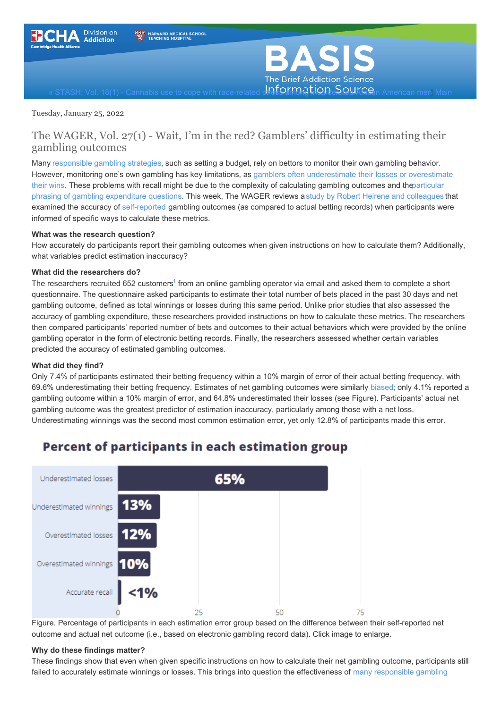<span id="page-0-0"></span>

**BAS** The Brief Addiction Science

 $\alpha$  STASH, Vol. 18(1) - Cannabis use to cope with race-related **stress among tign. SQUAFic**an American men| [Main](https://www.basisonline.org/)

#### Tuesday, January 25, 2022

### The WAGER, Vol. 27(1) - Wait, I'm in the red? Gamblers' difficulty in estimating their gambling outcomes

Many [responsible](https://www.responsiblegambling.nsw.gov.au/about-gambling/responsible-gambling-tips) gambling strategies, such as setting a budget, rely on bettors to monitor their own gambling behavior. However, monitoring one's own gambling has key limitations, as gamblers often [underestimate](https://psycnet.apa.org/doiLanding?doi=10.1037%2Fa0036428) their losses or overestimate their wins. These problems with recall might be due to the complexity of calculating gambling outcomes and [theparticular](https://www.tandfonline.com/doi/abs/10.1080/13645570701211209) phrasing of gambling expenditure questions. This week, The WAGER reviews astudy by Robert Heirene and [colleagues](https://psycnet.apa.org/record/2022-12935-001) that examined the accuracy of [self-reported](https://www.basisonline.org/basis_glossary.html#selfreport) gambling outcomes (as compared to actual betting records) when participants were informed of specific ways to calculate these metrics.

#### **What was the research question?**

How accurately do participants report their gambling outcomes when given instructions on how to calculate them? Additionally, what variables predict estimation inaccuracy?

#### **What did the researchers do?**

The researchers recruited 652 customers<sup>[1](#page-0-0)</sup> from an online gambling operator via email and asked them to complete a short questionnaire. The questionnaire asked participants to estimate their total number of bets placed in the past 30 days and net gambling outcome, defined as total winnings or losses during this same period. Unlike prior studies that also assessed the accuracy of gambling expenditure, these researchers provided instructions on how to calculate these metrics. The researchers then compared participants' reported number of bets and outcomes to their actual behaviors which were provided by the online gambling operator in the form of electronic betting records. Finally, the researchers assessed whether certain variables predicted the accuracy of estimated gambling outcomes.

#### **What did they find?**

Only 7.4% of participants estimated their betting frequency within a 10% margin of error of their actual betting frequency, with 69.6% underestimating their betting frequency. Estimates of net gambling outcomes were similarly [biased](https://www.simplypsychology.org/cognitive-bias.html); only 4.1% reported a gambling outcome within a 10% margin of error, and 64.8% underestimated their losses (see Figure). Participants' actual net gambling outcome was the greatest predictor of estimation inaccuracy, particularly among those with a net loss. Underestimating winnings was the second most common estimation error, yet only 12.8% of participants made this error.



### Percent of participants in each estimation group

Figure. Percentage of participants in each estimation error group based on the difference between their self-reported net outcome and actual net outcome (i.e., based on electronic gambling record data). Click image to enlarge.

#### **Why do these findings matter?**

These findings show that even when given specific instructions on how to calculate their net gambling outcome, participants still failed to accurately estimate winnings or losses. This brings into question the [effectiveness](https://journals.plos.org/plosone/article?id=10.1371/journal.pone.0224083) of many responsible gambling